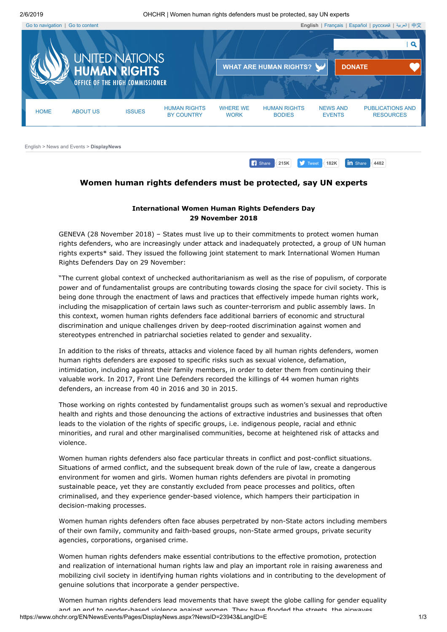2/6/2019 OHCHR | Women human rights defenders must be protected, say UN experts

<span id="page-0-0"></span>

## <span id="page-0-1"></span>**Women human rights defenders must be protected, say UN experts**

## **International Women Human Rights Defenders Day 29 November 2018**

GENEVA (28 November 2018) – States must live up to their commitments to protect women human rights defenders, who are increasingly under attack and inadequately protected, a group of UN human rights experts\* said. They issued the following joint statement to mark International Women Human Rights Defenders Day on 29 November:

"The current global context of unchecked authoritarianism as well as the rise of populism, of corporate power and of fundamentalist groups are contributing towards closing the space for civil society. This is being done through the enactment of laws and practices that effectively impede human rights work, including the misapplication of certain laws such as counter-terrorism and public assembly laws. In this context, women human rights defenders face additional barriers of economic and structural discrimination and unique challenges driven by deep-rooted discrimination against women and stereotypes entrenched in patriarchal societies related to gender and sexuality.

In addition to the risks of threats, attacks and violence faced by all human rights defenders, women human rights defenders are exposed to specific risks such as sexual violence, defamation, intimidation, including against their family members, in order to deter them from continuing their valuable work. In 2017, Front Line Defenders recorded the killings of 44 women human rights defenders, an increase from 40 in 2016 and 30 in 2015.

Those working on rights contested by fundamentalist groups such as women's sexual and reproductive health and rights and those denouncing the actions of extractive industries and businesses that often leads to the violation of the rights of specific groups, i.e. indigenous people, racial and ethnic minorities, and rural and other marginalised communities, become at heightened risk of attacks and violence.

Women human rights defenders also face particular threats in conflict and post-conflict situations. Situations of armed conflict, and the subsequent break down of the rule of law, create a dangerous environment for women and girls. Women human rights defenders are pivotal in promoting sustainable peace, yet they are constantly excluded from peace processes and politics, often criminalised, and they experience gender-based violence, which hampers their participation in decision-making processes.

Women human rights defenders often face abuses perpetrated by non-State actors including members of their own family, community and faith-based groups, non-State armed groups, private security agencies, corporations, organised crime.

Women human rights defenders make essential contributions to the effective promotion, protection and realization of international human rights law and play an important role in raising awareness and mobilizing civil society in identifying human rights violations and in contributing to the development of genuine solutions that incorporate a gender perspective.

https://www.ohchr.org/EN/NewsEvents/Pages/DisplayNews.aspx?NewsID=23943&LangID=E 1/3 Women human rights defenders lead movements that have swept the globe calling for gender equality and an end to gender-based violence against women They have flooded the streets the airwaves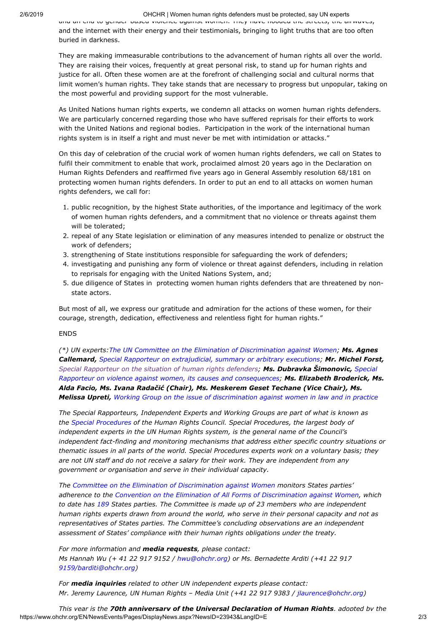## 2/6/2019 OHCHR | Women human rights defenders must be protected, say UN experts

and an end to gender based violence against women. They have flooded the streets, the airwaves, and the internet with their energy and their testimonials, bringing to light truths that are too often buried in darkness.

They are making immeasurable contributions to the advancement of human rights all over the world. They are raising their voices, frequently at great personal risk, to stand up for human rights and justice for all. Often these women are at the forefront of challenging social and cultural norms that limit women's human rights. They take stands that are necessary to progress but unpopular, taking on the most powerful and providing support for the most vulnerable.

As United Nations human rights experts, we condemn all attacks on women human rights defenders. We are particularly concerned regarding those who have suffered reprisals for their efforts to work with the United Nations and regional bodies. Participation in the work of the international human rights system is in itself a right and must never be met with intimidation or attacks."

On this day of celebration of the crucial work of women human rights defenders, we call on States to fulfil their commitment to enable that work, proclaimed almost 20 years ago in the Declaration on Human Rights Defenders and reaffirmed five years ago in General Assembly resolution 68/181 on protecting women human rights defenders. In order to put an end to all attacks on women human rights defenders, we call for:

- 1. public recognition, by the highest State authorities, of the importance and legitimacy of the work of women human rights defenders, and a commitment that no violence or threats against them will be tolerated;
- 2. repeal of any State legislation or elimination of any measures intended to penalize or obstruct the work of defenders;
- 3. strengthening of State institutions responsible for safeguarding the work of defenders;
- 4. investigating and punishing any form of violence or threat against defenders, including in relation to reprisals for engaging with the United Nations System, and;
- 5. due diligence of States in protecting women human rights defenders that are threatened by nonstate actors.

But most of all, we express our gratitude and admiration for the actions of these women, for their courage, strength, dedication, effectiveness and relentless fight for human rights."

## ENDS

*(\*) UN experts:The UN Committee on the Elimination of [Discrimination](https://www.ohchr.org/en/hrbodies/cedaw/pages/cedawindex.aspx) against Women; Ms. Agnes Callemard, Special Rapporteur on [extrajudicial,](http://www.ohchr.org/EN/Issues/Executions/Pages/SRExecutionsIndex.aspx) summary or arbitrary executions; Mr. Michel Forst, Special [Rapporteur](http://www.ohchr.org/EN/Issues/SRHRDefenders/Pages/SRHRDefendersIndex.aspx) on the situation of human rights defenders; Ms. Dubravka Šimonovic, Special Rapporteur on violence against women, its causes and consequences; [Ms. Elizabeth Broderick, M](http://www.ohchr.org/EN/Issues/Women/SRWomen/Pages/SRWomenIndex.aspx)s. Alda Facio, Ms. Ivana Radačić (Chair), Ms. Meskerem Geset Techane (Vice Chair), Ms. Melissa Upreti, Working Group on the issue of [discrimination](https://www.ohchr.org/EN/Issues/Women/WGWomen/Pages/WGWomenIndex.aspx) against women in law and in practice*

*The Special Rapporteurs, Independent Experts and Working Groups are part of what is known as the Special [Procedures](https://www.ohchr.org/EN/HRBodies/SP/CountriesMandates/PS/Pages/SRPalestine.aspx) of the Human Rights Council. Special Procedures, the largest body of independent experts in the UN Human Rights system, is the general name of the Council's independent fact-finding and monitoring mechanisms that address either specific country situations or thematic issues in all parts of the world. Special Procedures experts work on a voluntary basis; they are not UN staff and do not receive a salary for their work. They are independent from any government or organisation and serve in their individual capacity.*

*The Committee on the Elimination of [Discrimination](https://www.ohchr.org/en/hrbodies/cedaw/pages/cedawindex.aspx) against Women monitors States parties' adherence to the Convention on the Elimination of All Forms of [Discrimination](https://www.ohchr.org/EN/ProfessionalInterest/Pages/CEDAW.aspx) against Women, which to date has [189](https://treaties.un.org/Pages/ViewDetails.aspx?src=TREATY&mtdsg_no=IV-8&chapter=4&clang=_en) States parties. The Committee is made up of 23 members who are independent human rights experts drawn from around the world, who serve in their personal capacity and not as representatives of States parties. The Committee's concluding observations are an independent assessment of States' compliance with their human rights obligations under the treaty.*

*For more information and media requests, please contact: Ms Hannah Wu (+ 41 22 917 9152 / [hwu@ohchr.org](mailto:hwu@ohchr.org)) or Ms. Bernadette Arditi (+41 22 917 [9159/barditi@ohchr.org](mailto:9159/barditi@ohchr.org))*

*For media inquiries related to other UN independent experts please contact: Mr. Jeremy Laurence, UN Human Rights – Media Unit (+41 22 917 9383 / [jlaurence@ohchr.org](mailto:jlaurence@ohchr.org))*